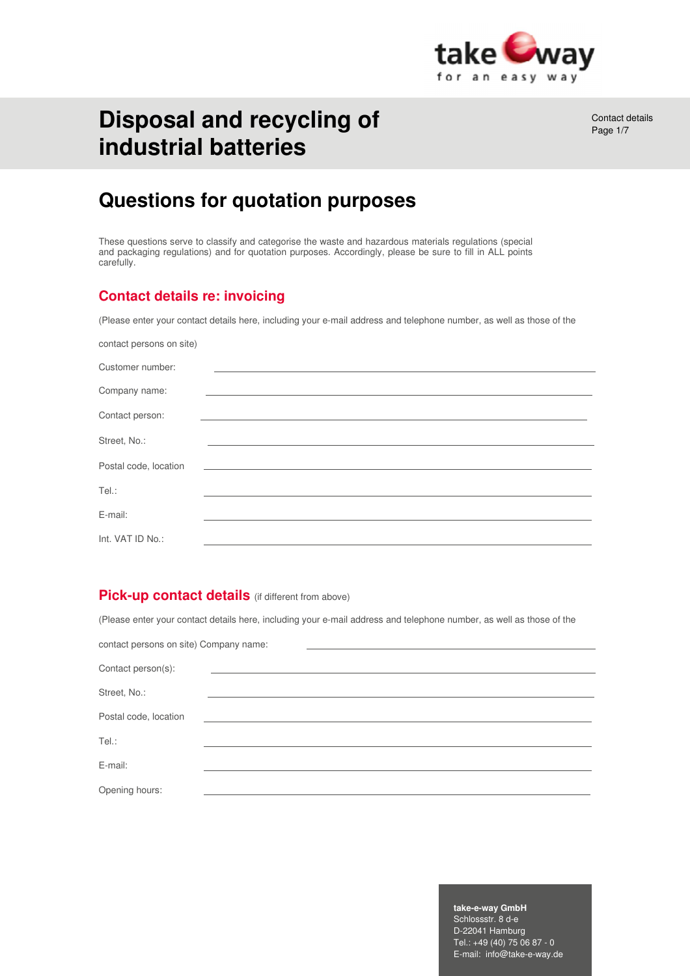

# **Disposal and recycling of industrial batteries**

Contact details Page 1/7

# **Questions for quotation purposes**

These questions serve to classify and categorise the waste and hazardous materials regulations (special and packaging regulations) and for quotation purposes. Accordingly, please be sure to fill in ALL points carefully.

## **Contact details re: invoicing**

(Please enter your contact details here, including your e-mail address and telephone number, as well as those of the

| contact persons on site) |                                                                                                                       |
|--------------------------|-----------------------------------------------------------------------------------------------------------------------|
| Customer number:         |                                                                                                                       |
| Company name:            |                                                                                                                       |
| Contact person:          |                                                                                                                       |
| Street, No.:             |                                                                                                                       |
| Postal code, location    | <u> 1989 - Johann Stoff, deutscher Stoff, der Stoff, der Stoff, der Stoff, der Stoff, der Stoff, der Stoff, der S</u> |
| Tel.:                    |                                                                                                                       |
| E-mail:                  |                                                                                                                       |
| Int. VAT ID No.:         |                                                                                                                       |

### **Pick-up contact details** (if different from above)

(Please enter your contact details here, including your e-mail address and telephone number, as well as those of the

| contact persons on site) Company name: |  |
|----------------------------------------|--|
|                                        |  |
| Contact person(s):                     |  |
| Street, No.:                           |  |
|                                        |  |
| Postal code, location                  |  |
| Tel.:                                  |  |
| E-mail:                                |  |
| Opening hours:                         |  |

#### **take-e-way GmbH**

Schlossstr. 8 d-e D-22041 Hamburg Tel.: +49 (40) 75 06 87 - 0 E-mail: info@take-e-way.de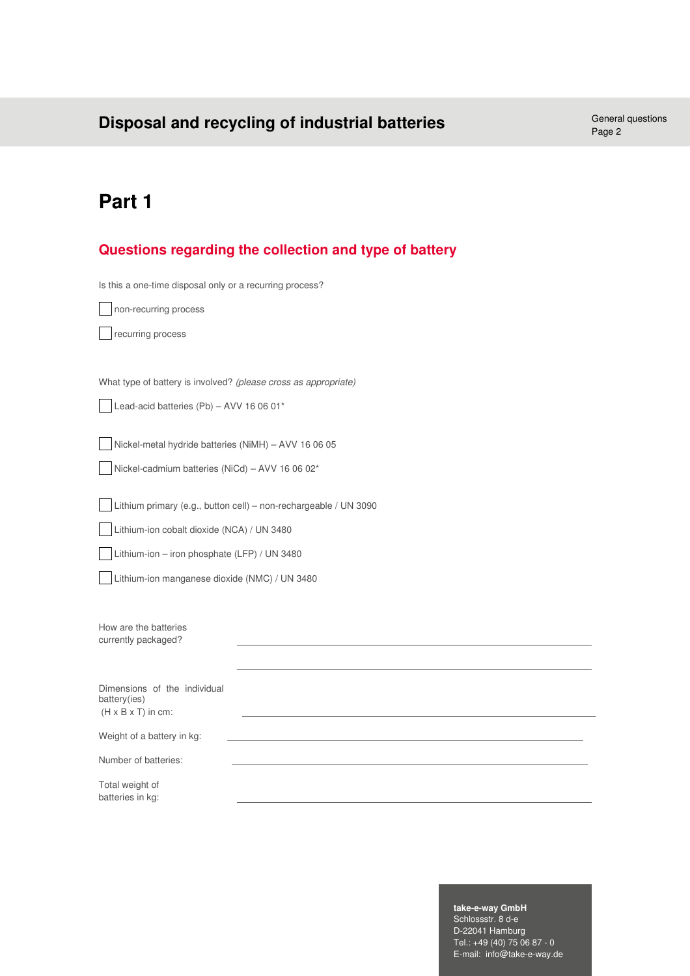# **Disposal and recycling of industrial batteries** General questions General questions

Page 2

# **Part 1**

## **Questions regarding the collection and type of battery**

Is this a one-time disposal only or a recurring process?

| non-recurring process                                            |  |
|------------------------------------------------------------------|--|
| recurring process                                                |  |
|                                                                  |  |
|                                                                  |  |
| What type of battery is involved? (please cross as appropriate)  |  |
| Lead-acid batteries (Pb) - AVV 16 06 01*                         |  |
|                                                                  |  |
| Nickel-metal hydride batteries (NiMH) - AVV 16 06 05             |  |
| Nickel-cadmium batteries (NiCd) - AVV 16 06 02*                  |  |
|                                                                  |  |
| Lithium primary (e.g., button cell) - non-rechargeable / UN 3090 |  |
| Lithium-ion cobalt dioxide (NCA) / UN 3480                       |  |
| Lithium-ion - iron phosphate (LFP) / UN 3480                     |  |
| Lithium-ion manganese dioxide (NMC) / UN 3480                    |  |
|                                                                  |  |
|                                                                  |  |
| How are the batteries                                            |  |
| currently packaged?                                              |  |
|                                                                  |  |
| Dimensions of the individual                                     |  |
| battery(ies)                                                     |  |
| $(H \times B \times T)$ in cm:                                   |  |
| Weight of a battery in kg:                                       |  |
| Number of batteries:                                             |  |
| Total weight of                                                  |  |
| batteries in kg:                                                 |  |

#### **take-e-way GmbH**

Schlossstr. 8 d-e D-22041 Hamburg Tel.: +49 (40) 75 06 87 - 0 E-mail: info@take-e-way.de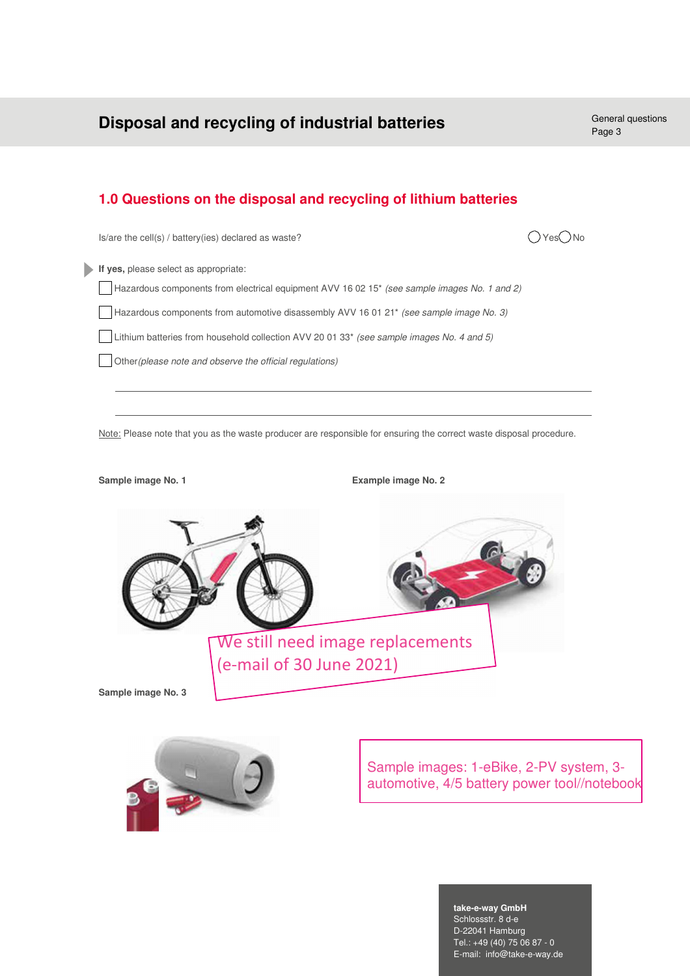## **Disposal and recycling of industrial batteries** General questions

## **1.0 Questions on the disposal and recycling of lithium batteries**

 $Is/are the cell(s) / battery(ies) declared as waste?$   $\bigcap Yes \bigcap No$ 



**If yes,** please select as appropriate: Hazardous components from electrical equipment AVV 16 02 15\* *(see sample images No. 1 and 2)* Hazardous components from automotive disassembly AVV 16 01 21\* *(see sample image No. 3)* Lithium batteries from household collection AVV 20 01 33\* *(see sample images No. 4 and 5)* Other*(please note and observe the official regulations)*

Note: Please note that you as the waste producer are responsible for ensuring the correct waste disposal procedure.





Sample images: 1-eBike, 2-PV system, 3 automotive, 4/5 battery power tool//notebook

#### **take-e-way GmbH**

Schlossstr. 8 d-e D-22041 Hamburg Tel.: +49 (40) 75 06 87 - 0 E-mail: info@take-e-way.de Page 3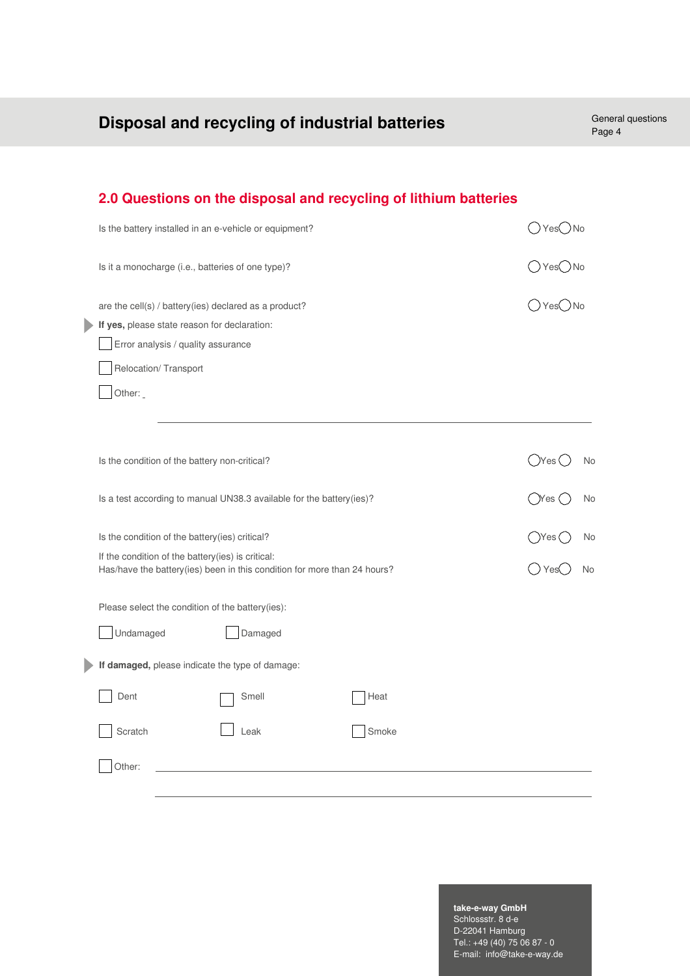| Disposal and recycling of industrial batteries                                                                                | General questions<br>Page 4                             |
|-------------------------------------------------------------------------------------------------------------------------------|---------------------------------------------------------|
|                                                                                                                               |                                                         |
| 2.0 Questions on the disposal and recycling of lithium batteries                                                              |                                                         |
| Is the battery installed in an e-vehicle or equipment?                                                                        | $\bigcirc$ Yes $\bigcirc$ No                            |
| Is it a monocharge (i.e., batteries of one type)?                                                                             | $\bigcirc$ Yes $\bigcirc$ No                            |
| are the cell(s) / battery(ies) declared as a product?<br>If yes, please state reason for declaration:                         | ○Yes○No                                                 |
| Error analysis / quality assurance                                                                                            |                                                         |
| Relocation/Transport                                                                                                          |                                                         |
| Other:                                                                                                                        |                                                         |
| Is the condition of the battery non-critical?<br>Is a test according to manual UN38.3 available for the battery(ies)?         | $(\gamma_{\text{res}}(\gamma$<br>No<br>( )Yes ( )<br>No |
| Is the condition of the battery(ies) critical?                                                                                | ()Yes(]<br>No                                           |
| If the condition of the battery(ies) is critical:<br>Has/have the battery(ies) been in this condition for more than 24 hours? | ( ) Yes(<br>No                                          |
| Please select the condition of the battery(ies):                                                                              |                                                         |
| Damaged<br>Undamaged                                                                                                          |                                                         |
| If damaged, please indicate the type of damage:                                                                               |                                                         |
| Dent<br>Smell<br>Heat                                                                                                         |                                                         |
| Scratch<br>Smoke<br>Leak                                                                                                      |                                                         |
| Other:                                                                                                                        |                                                         |

#### **take-e-way GmbH**

Schlossstr. 8 d-e D-22041 Hamburg Tel.: +49 (40) 75 06 87 - 0 E-mail: info@take-e-way.de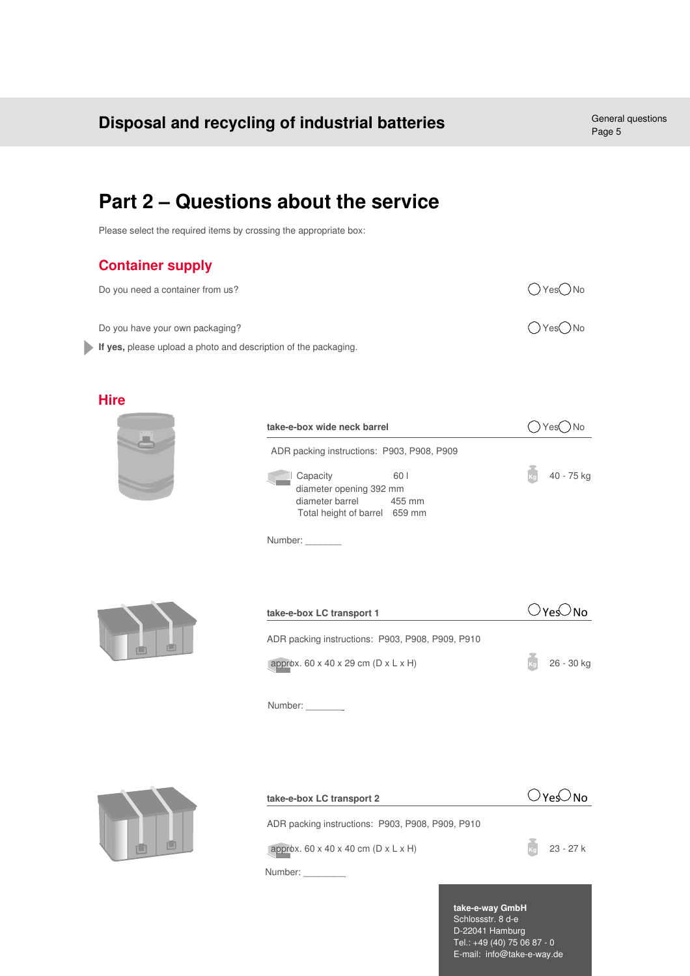# **Part 2 – Questions about the service**

Please select the required items by crossing the appropriate box:

## **Container supply**

| Do you need a container from us?                                | OYesONo                      |
|-----------------------------------------------------------------|------------------------------|
| Do you have your own packaging?                                 | $\bigcirc$ Yes $\bigcirc$ No |
| If yes, please upload a photo and description of the packaging. |                              |

### **Hire**



| take-e-box wide neck barrel |                                                                                         |                | Yes( |            |
|-----------------------------|-----------------------------------------------------------------------------------------|----------------|------|------------|
|                             | ADR packing instructions: P903, P908, P909                                              |                |      |            |
|                             | Capacity<br>diameter opening 392 mm<br>diameter barrel<br>Total height of barrel 659 mm | 60 I<br>455 mm |      | 40 - 75 kg |

Number:



| 26 - 30 kg |
|------------|
|            |

Number:



| take-e-box LC transport 2                                     | $\bigcirc$ Yes $\bigcirc$ No |
|---------------------------------------------------------------|------------------------------|
| ADR packing instructions: P903, P908, P909, P910              |                              |
| approx. $60 \times 40 \times 40$ cm (D $\times$ L $\times$ H) | 23 - 27 k                    |
| Number:                                                       |                              |

**take-e-way GmbH** Schlossstr. 8 d-e D-22041 Hamburg Tel.: +49 (40) 75 06 87 - 0 E-mail: info@take-e-way.de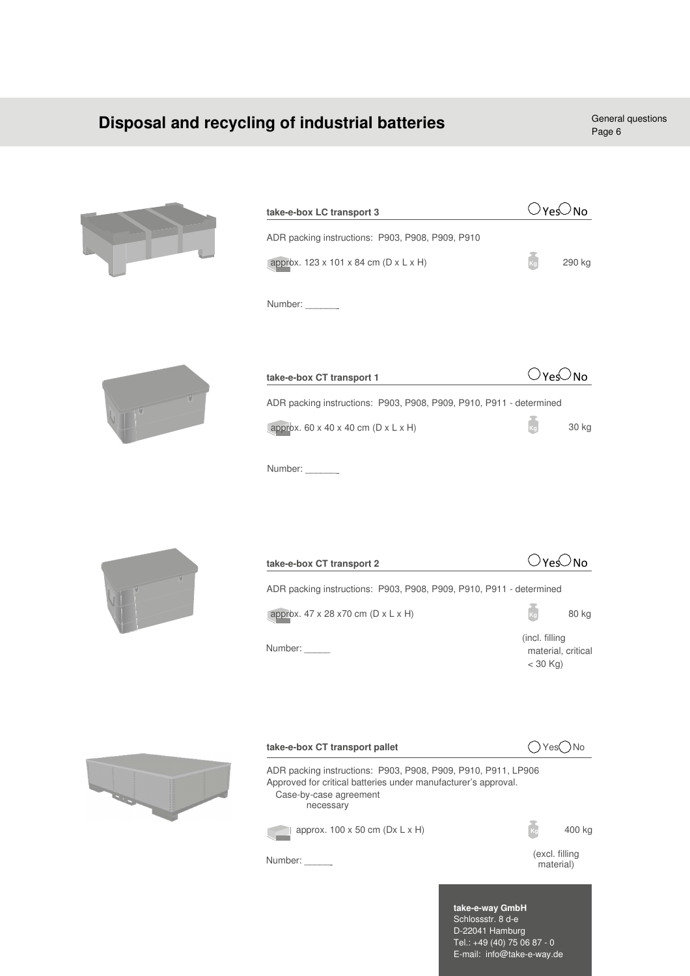# **Disposal and recycling of industrial batteries** General questions

Page 6



| take-e-box LC transport 3                        |  | ⊂No    |
|--------------------------------------------------|--|--------|
| ADR packing instructions: P903, P908, P909, P910 |  |        |
| approx. 123 x 101 x 84 cm (D x L x H)            |  | 290 kg |
| Number:                                          |  |        |
|                                                  |  |        |



| take-e-box CT transport 1                                           | $\bigcirc$ Yes $\bigcirc$ No |       |
|---------------------------------------------------------------------|------------------------------|-------|
| ADR packing instructions: P903, P908, P909, P910, P911 - determined |                              |       |
| approx. $60 \times 40 \times 40$ cm (D $\times$ L $\times$ H)       | $k_{\rm d}$                  | 30 kg |
| Number:                                                             |                              |       |



| take-e-box CT transport 2                                           | ⊖No                                                 |
|---------------------------------------------------------------------|-----------------------------------------------------|
| ADR packing instructions: P903, P908, P909, P910, P911 - determined |                                                     |
| approx. $47 \times 28 \times 70$ cm (D $\times$ L $\times$ H)       | ka<br>80 kg                                         |
| Number:                                                             | (incl. filling)<br>material, critical<br>$<$ 30 Kg) |
|                                                                     |                                                     |





**take-e-way GmbH** Schlossstr. 8 d-e D-22041 Hamburg Tel.: +49 (40) 75 06 87 - 0 E-mail: info@take-e-way.de